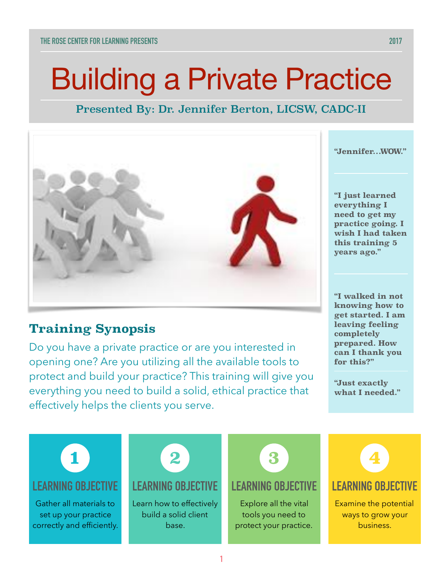# Building a Private Practice

# Presented By: Dr. Jennifer Berton, LICSW, CADC-II



# **Training Synopsis**

Do you have a private practice or are you interested in opening one? Are you utilizing all the available tools to protect and build your practice? This training will give you everything you need to build a solid, ethical practice that effectively helps the clients you serve.

**"Jennifer…WOW."** 

**"I just learned everything I need to get my practice going. I wish I had taken this training 5 years ago."** 

**"I walked in not knowing how to get started. I am leaving feeling completely prepared. How can I thank you for this?"**

**"Just exactly what I needed."**